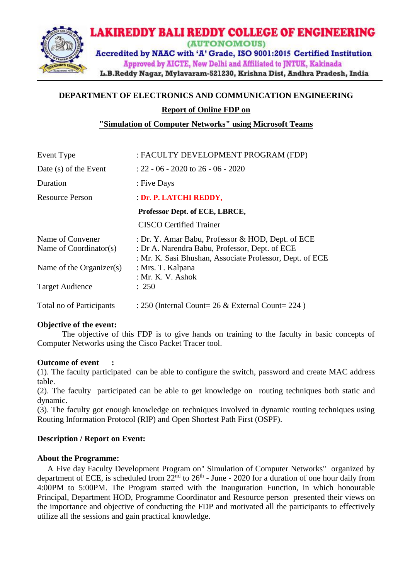

# **DEPARTMENT OF ELECTRONICS AND COMMUNICATION ENGINEERING Report of Online FDP on**

**"Simulation of Computer Networks" using Microsoft Teams** 

| Event Type                                   | : FACULTY DEVELOPMENT PROGRAM (FDP)                                                                                                                             |
|----------------------------------------------|-----------------------------------------------------------------------------------------------------------------------------------------------------------------|
| Date (s) of the Event                        | $: 22 - 06 - 2020$ to 26 - 06 - 2020                                                                                                                            |
| Duration                                     | : Five Days                                                                                                                                                     |
| <b>Resource Person</b>                       | : Dr. P. LATCHI REDDY,                                                                                                                                          |
|                                              | Professor Dept. of ECE, LBRCE,                                                                                                                                  |
|                                              | <b>CISCO</b> Certified Trainer                                                                                                                                  |
| Name of Convener<br>Name of $Coordinator(s)$ | : Dr. Y. Amar Babu, Professor & HOD, Dept. of ECE<br>: Dr A. Narendra Babu, Professor, Dept. of ECE<br>: Mr. K. Sasi Bhushan, Associate Professor, Dept. of ECE |
| Name of the Organizer(s)                     | : Mrs. T. Kalpana<br>: Mr. K. V. Ashok                                                                                                                          |
| <b>Target Audience</b>                       | : 250                                                                                                                                                           |
| Total no of Participants                     | : 250 (Internal Count= 26 & External Count= 224)                                                                                                                |

#### **Objective of the event:**

The objective of this FDP is to give hands on training to the faculty in basic concepts of Computer Networks using the Cisco Packet Tracer tool.

#### **Outcome of event :**

(1). The faculty participated can be able to configure the switch, password and create MAC address table.

(2). The faculty participated can be able to get knowledge on routing techniques both static and dynamic.

(3). The faculty got enough knowledge on techniques involved in dynamic routing techniques using Routing Information Protocol (RIP) and Open Shortest Path First (OSPF).

#### **Description / Report on Event:**

#### **About the Programme:**

 A Five day Faculty Development Program on" Simulation of Computer Networks" organized by department of ECE, is scheduled from  $22<sup>nd</sup>$  to  $26<sup>th</sup>$  - June - 2020 for a duration of one hour daily from 4:00PM to 5:00PM. The Program started with the Inauguration Function, in which honourable Principal, Department HOD, Programme Coordinator and Resource person presented their views on the importance and objective of conducting the FDP and motivated all the participants to effectively utilize all the sessions and gain practical knowledge.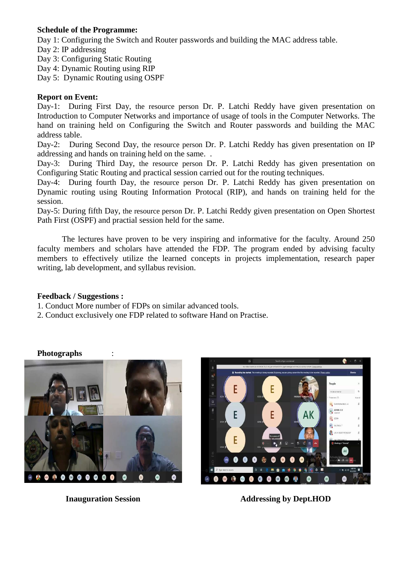## **Schedule of the Programme:**

Day 1: Configuring the Switch and Router passwords and building the MAC address table.

- Day 2: IP addressing
- Day 3: Configuring Static Routing
- Day 4: Dynamic Routing using RIP
- Day 5: Dynamic Routing using OSPF

### **Report on Event:**

Day-1: During First Day, the resource person Dr. P. Latchi Reddy have given presentation on Introduction to Computer Networks and importance of usage of tools in the Computer Networks. The hand on training held on Configuring the Switch and Router passwords and building the MAC address table.

Day-2: During Second Day, the resource person Dr. P. Latchi Reddy has given presentation on IP addressing and hands on training held on the same. .

Day-3: During Third Day, the resource person Dr. P. Latchi Reddy has given presentation on Configuring Static Routing and practical session carried out for the routing techniques.

Day-4: During fourth Day, the resource person Dr. P. Latchi Reddy has given presentation on Dynamic routing using Routing Information Protocal (RIP), and hands on training held for the session.

Day-5: During fifth Day, the resource person Dr. P. Latchi Reddy given presentation on Open Shortest Path First (OSPF) and practial session held for the same.

The lectures have proven to be very inspiring and informative for the faculty. Around 250 faculty members and scholars have attended the FDP. The program ended by advising faculty members to effectively utilize the learned concepts in projects implementation, research paper writing, lab development, and syllabus revision.

#### **Feedback / Suggestions :**

- 1. Conduct More number of FDPs on similar advanced tools.
- 2. Conduct exclusively one FDP related to software Hand on Practise.









**Inauguration Session Addressing by Dept.HOD**